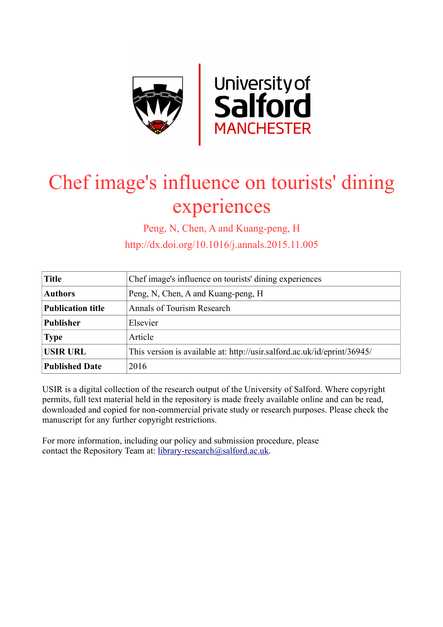

# Chef image's influence on tourists' dining experiences

Peng, N, Chen, A and Kuang-peng, H

http://dx.doi.org/10.1016/j.annals.2015.11.005

| <b>Title</b>             | Chef image's influence on tourists' dining experiences                   |
|--------------------------|--------------------------------------------------------------------------|
| <b>Authors</b>           | Peng, N, Chen, A and Kuang-peng, H                                       |
| <b>Publication title</b> | Annals of Tourism Research                                               |
| <b>Publisher</b>         | Elsevier                                                                 |
| <b>Type</b>              | Article                                                                  |
| <b>USIR URL</b>          | This version is available at: http://usir.salford.ac.uk/id/eprint/36945/ |
| <b>Published Date</b>    | 2016                                                                     |

USIR is a digital collection of the research output of the University of Salford. Where copyright permits, full text material held in the repository is made freely available online and can be read, downloaded and copied for non-commercial private study or research purposes. Please check the manuscript for any further copyright restrictions.

For more information, including our policy and submission procedure, please contact the Repository Team at: [library-research@salford.ac.uk.](mailto:library-research@salford.ac.uk)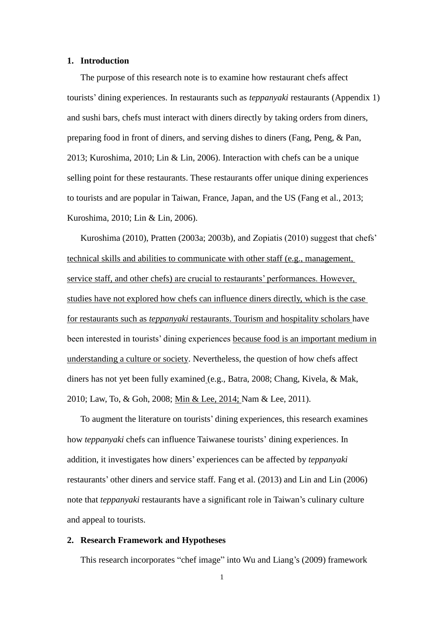#### **1. Introduction**

The purpose of this research note is to examine how restaurant chefs affect tourists' dining experiences. In restaurants such as *teppanyaki* restaurants (Appendix 1) and sushi bars, chefs must interact with diners directly by taking orders from diners, preparing food in front of diners, and serving dishes to diners (Fang, Peng, & Pan, 2013; Kuroshima, 2010; Lin & Lin, 2006). Interaction with chefs can be a unique selling point for these restaurants. These restaurants offer unique dining experiences to tourists and are popular in Taiwan, France, Japan, and the US (Fang et al., 2013; Kuroshima, 2010; Lin & Lin, 2006).

Kuroshima (2010), Pratten (2003a; 2003b), and Zopiatis (2010) suggest that chefs' technical skills and abilities to communicate with other staff (e.g., management, service staff, and other chefs) are crucial to restaurants' performances. However, studies have not explored how chefs can influence diners directly, which is the case for restaurants such as *teppanyaki* restaurants. Tourism and hospitality scholars have been interested in tourists' dining experiences because food is an important medium in understanding a culture or society. Nevertheless, the question of how chefs affect diners has not yet been fully examined (e.g., Batra, 2008; Chang, Kivela, & Mak, 2010; Law, To, & Goh, 2008; Min & Lee, 2014; Nam & Lee, 2011).

To augment the literature on tourists' dining experiences, this research examines how *teppanyaki* chefs can influence Taiwanese tourists' dining experiences. In addition, it investigates how diners' experiences can be affected by *teppanyaki* restaurants' other diners and service staff. Fang et al. (2013) and Lin and Lin (2006) note that *teppanyaki* restaurants have a significant role in Taiwan's culinary culture and appeal to tourists.

#### **2. Research Framework and Hypotheses**

This research incorporates "chef image" into Wu and Liang's (2009) framework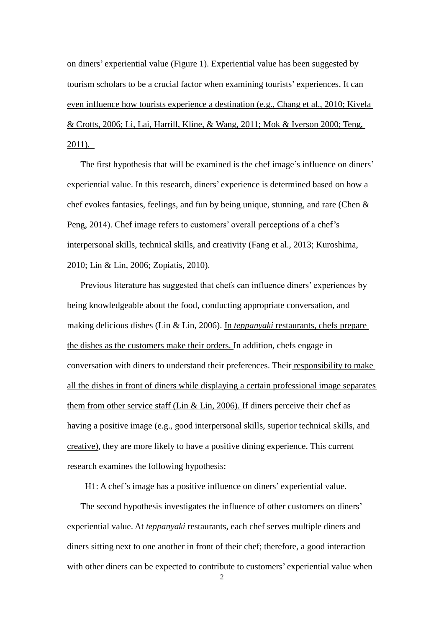on diners' experiential value (Figure 1). Experiential value has been suggested by tourism scholars to be a crucial factor when examining tourists' experiences. It can even influence how tourists experience a destination (e.g., Chang et al., 2010; Kivela & Crotts, 2006; Li, Lai, Harrill, Kline, & Wang, 2011; Mok & Iverson 2000; Teng, 2011).

The first hypothesis that will be examined is the chef image's influence on diners' experiential value. In this research, diners' experience is determined based on how a chef evokes fantasies, feelings, and fun by being unique, stunning, and rare (Chen & Peng, 2014). Chef image refers to customers' overall perceptions of a chef's interpersonal skills, technical skills, and creativity (Fang et al., 2013; Kuroshima, 2010; Lin & Lin, 2006; Zopiatis, 2010).

Previous literature has suggested that chefs can influence diners' experiences by being knowledgeable about the food, conducting appropriate conversation, and making delicious dishes (Lin & Lin, 2006). In *teppanyaki* restaurants, chefs prepare the dishes as the customers make their orders. In addition, chefs engage in conversation with diners to understand their preferences. Their responsibility to make all the dishes in front of diners while displaying a certain professional image separates them from other service staff (Lin & Lin, 2006). If diners perceive their chef as having a positive image (e.g., good interpersonal skills, superior technical skills, and creative), they are more likely to have a positive dining experience. This current research examines the following hypothesis:

H1: A chef's image has a positive influence on diners' experiential value.

The second hypothesis investigates the influence of other customers on diners' experiential value. At *teppanyaki* restaurants, each chef serves multiple diners and diners sitting next to one another in front of their chef; therefore, a good interaction with other diners can be expected to contribute to customers' experiential value when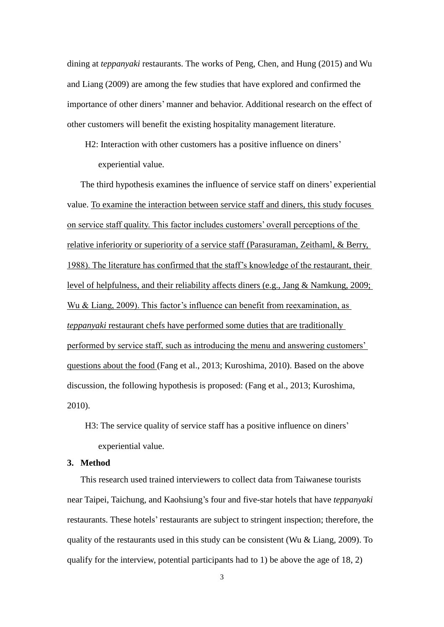dining at *teppanyaki* restaurants. The works of Peng, Chen, and Hung (2015) and Wu and Liang (2009) are among the few studies that have explored and confirmed the importance of other diners' manner and behavior. Additional research on the effect of other customers will benefit the existing hospitality management literature.

H2: Interaction with other customers has a positive influence on diners' experiential value.

The third hypothesis examines the influence of service staff on diners' experiential value. To examine the interaction between service staff and diners, this study focuses on service staff quality. This factor includes customers' overall perceptions of the relative inferiority or superiority of a service staff (Parasuraman, Zeithaml, & Berry, 1988). The literature has confirmed that the staff's knowledge of the restaurant, their level of helpfulness, and their reliability affects diners (e.g., Jang & Namkung, 2009; Wu & Liang, 2009). This factor's influence can benefit from reexamination, as *teppanyaki* restaurant chefs have performed some duties that are traditionally performed by service staff, such as introducing the menu and answering customers' questions about the food (Fang et al., 2013; Kuroshima, 2010). Based on the above discussion, the following hypothesis is proposed: (Fang et al., 2013; Kuroshima, 2010).

H3: The service quality of service staff has a positive influence on diners' experiential value.

# **3. Method**

This research used trained interviewers to collect data from Taiwanese tourists near Taipei, Taichung, and Kaohsiung's four and five-star hotels that have *teppanyaki* restaurants. These hotels' restaurants are subject to stringent inspection; therefore, the quality of the restaurants used in this study can be consistent (Wu & Liang, 2009). To qualify for the interview, potential participants had to 1) be above the age of  $18, 2$ )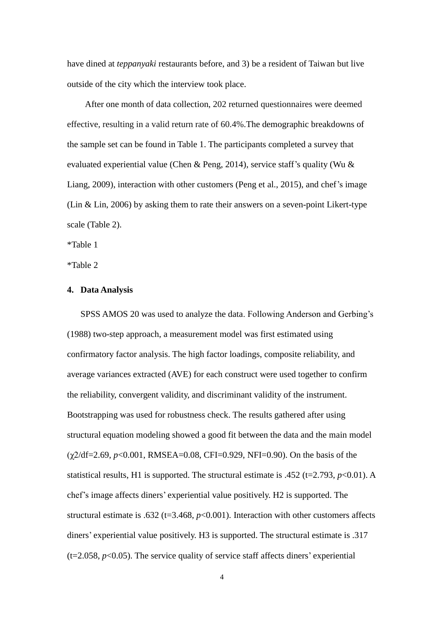have dined at *teppanyaki* restaurants before, and 3) be a resident of Taiwan but live outside of the city which the interview took place.

After one month of data collection, 202 returned questionnaires were deemed effective, resulting in a valid return rate of 60.4%.The demographic breakdowns of the sample set can be found in Table 1. The participants completed a survey that evaluated experiential value (Chen & Peng, 2014), service staff's quality (Wu & Liang, 2009), interaction with other customers (Peng et al., 2015), and chef's image (Lin & Lin, 2006) by asking them to rate their answers on a seven-point Likert-type scale (Table 2).

\*Table 1

\*Table 2

## **4. Data Analysis**

SPSS AMOS 20 was used to analyze the data. Following Anderson and Gerbing's (1988) two-step approach, a measurement model was first estimated using confirmatory factor analysis. The high factor loadings, composite reliability, and average variances extracted (AVE) for each construct were used together to confirm the reliability, convergent validity, and discriminant validity of the instrument. Bootstrapping was used for robustness check. The results gathered after using structural equation modeling showed a good fit between the data and the main model (χ2/df=2.69, *p*<0.001, RMSEA=0.08, CFI=0.929, NFI=0.90). On the basis of the statistical results, H1 is supported. The structural estimate is .452 ( $t=2.793$ ,  $p<0.01$ ). A chef's image affects diners' experiential value positively. H2 is supported. The structural estimate is .632 ( $t=3.468$ ,  $p<0.001$ ). Interaction with other customers affects diners' experiential value positively. H3 is supported. The structural estimate is .317  $(t=2.058, p<0.05)$ . The service quality of service staff affects diners' experiential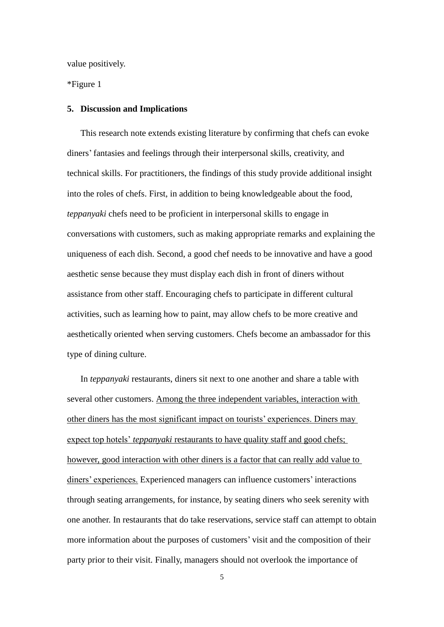value positively.

\*Figure 1

#### **5. Discussion and Implications**

This research note extends existing literature by confirming that chefs can evoke diners' fantasies and feelings through their interpersonal skills, creativity, and technical skills. For practitioners, the findings of this study provide additional insight into the roles of chefs. First, in addition to being knowledgeable about the food, *teppanyaki* chefs need to be proficient in interpersonal skills to engage in conversations with customers, such as making appropriate remarks and explaining the uniqueness of each dish. Second, a good chef needs to be innovative and have a good aesthetic sense because they must display each dish in front of diners without assistance from other staff. Encouraging chefs to participate in different cultural activities, such as learning how to paint, may allow chefs to be more creative and aesthetically oriented when serving customers. Chefs become an ambassador for this type of dining culture.

In *teppanyaki* restaurants, diners sit next to one another and share a table with several other customers. Among the three independent variables, interaction with other diners has the most significant impact on tourists' experiences. Diners may expect top hotels' *teppanyaki* restaurants to have quality staff and good chefs; however, good interaction with other diners is a factor that can really add value to diners' experiences. Experienced managers can influence customers' interactions through seating arrangements, for instance, by seating diners who seek serenity with one another. In restaurants that do take reservations, service staff can attempt to obtain more information about the purposes of customers' visit and the composition of their party prior to their visit. Finally, managers should not overlook the importance of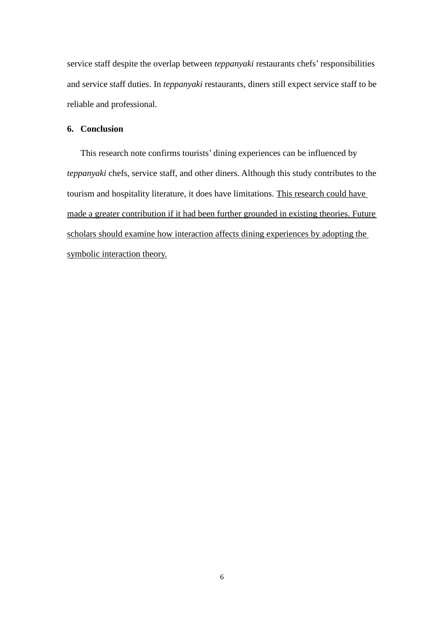service staff despite the overlap between *teppanyaki* restaurants chefs' responsibilities and service staff duties. In *teppanyaki* restaurants, diners still expect service staff to be reliable and professional.

## **6. Conclusion**

This research note confirms tourists' dining experiences can be influenced by *teppanyaki* chefs, service staff, and other diners. Although this study contributes to the tourism and hospitality literature, it does have limitations. This research could have made a greater contribution if it had been further grounded in existing theories. Future scholars should examine how interaction affects dining experiences by adopting the symbolic interaction theory.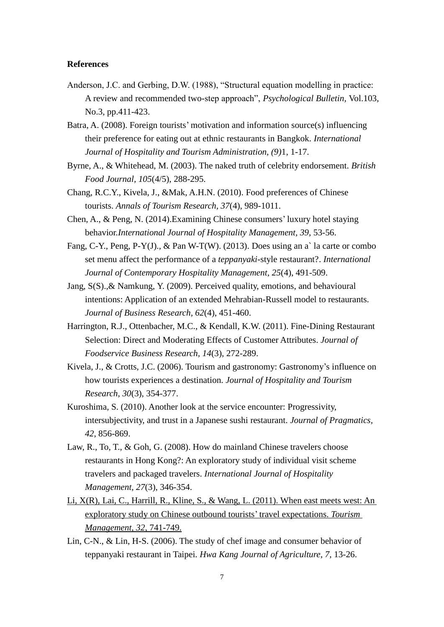#### **References**

Anderson, J.C. and Gerbing, D.W. (1988), "Structural equation modelling in practice: A review and recommended two-step approach", *Psychological Bulletin,* Vol.103, No.3, pp.411-423.

Batra, A. (2008). Foreign tourists' motivation and information source(s) influencing their preference for eating out at ethnic restaurants in Bangkok. *International Journal of Hospitality and Tourism Administration, (9)*1, 1-17.

- Byrne, A., & Whitehead, M. (2003). The naked truth of celebrity endorsement. *British Food Journal, 105*(4/5), 288-295.
- Chang, R.C.Y., Kivela, J., &Mak, A.H.N. (2010). Food preferences of Chinese tourists. *Annals of Tourism Research, 37*(4), 989-1011.
- Chen, A., & Peng, N. (2014).Examining Chinese consumers' luxury hotel staying behavior.*International Journal of Hospitality Management, 39*, 53-56.
- Fang, C-Y., Peng, P-Y(J)., & Pan W-T(W). (2013). Does using an a` la carte or combo set menu affect the performance of a *teppanyaki*-style restaurant?. *International Journal of Contemporary Hospitality Management, 25*(4), 491-509.
- Jang, S(S).,& Namkung, Y. (2009). Perceived quality, emotions, and behavioural intentions: Application of an extended Mehrabian-Russell model to restaurants. *Journal of Business Research, 62*(4), 451-460.
- Harrington, R.J., Ottenbacher, M.C., & Kendall, K.W. (2011). Fine-Dining Restaurant Selection: Direct and Moderating Effects of Customer Attributes. *Journal of Foodservice Business Research, 14*(3), 272-289.
- Kivela, J., & Crotts, J.C. (2006). Tourism and gastronomy: Gastronomy's influence on how tourists experiences a destination. *Journal of Hospitality and Tourism Research, 30*(3), 354-377.
- Kuroshima, S. (2010). Another look at the service encounter: Progressivity, intersubjectivity, and trust in a Japanese sushi restaurant. *Journal of Pragmatics, 42*, 856-869.
- Law, R., To, T., & Goh, G. (2008). How do mainland Chinese travelers choose restaurants in Hong Kong?: An exploratory study of individual visit scheme travelers and packaged travelers. *International Journal of Hospitality Management, 27*(3), 346-354.
- Li, X(R), Lai, C., Harrill, R., Kline, S., & Wang, L. (2011). When east meets west: An exploratory study on Chinese outbound tourists' travel expectations. *Tourism Management, 32*, 741-749.
- Lin, C-N., & Lin, H-S. (2006). The study of chef image and consumer behavior of teppanyaki restaurant in Taipei. *Hwa Kang Journal of Agriculture, 7,* 13-26.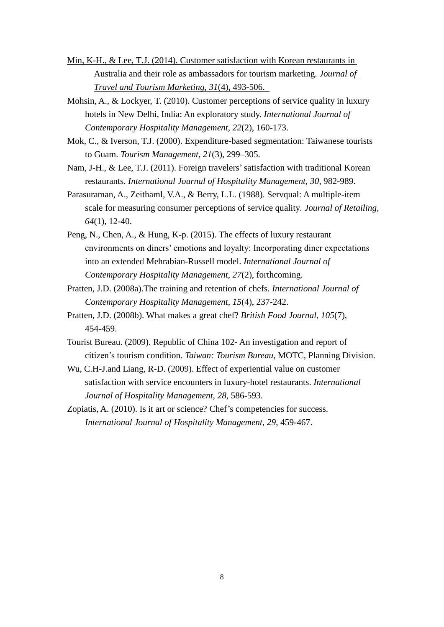- Min, K-H., & Lee, T.J. (2014). Customer satisfaction with Korean restaurants in Australia and their role as ambassadors for tourism marketing. *Journal of Travel and Tourism Marketing, 31*(4), 493-506.
- Mohsin, A., & Lockyer, T. (2010). Customer perceptions of service quality in luxury hotels in New Delhi, India: An exploratory study. *International Journal of Contemporary Hospitality Management, 22*(2), 160-173.
- Mok, C., & Iverson, T.J. (2000). Expenditure-based segmentation: Taiwanese tourists to Guam. *Tourism Management*, *21*(3), 299–305.
- Nam, J-H., & Lee, T.J. (2011). Foreign travelers'satisfaction with traditional Korean restaurants. *International Journal of Hospitality Management, 30*, 982-989.
- Parasuraman, A., Zeithaml, V.A., & Berry, L.L. (1988). Servqual: A multiple-item scale for measuring consumer perceptions of service quality*. Journal of Retailing, 64*(1), 12-40.
- Peng, N., Chen, A., & Hung, K-p. (2015). The effects of luxury restaurant environments on diners' emotions and loyalty: Incorporating diner expectations into an extended Mehrabian-Russell model. *International Journal of Contemporary Hospitality Management, 27*(2), forthcoming.
- Pratten, J.D. (2008a).The training and retention of chefs. *International Journal of Contemporary Hospitality Management, 15*(4), 237-242.
- Pratten, J.D. (2008b). What makes a great chef? *British Food Journal, 105*(7), 454-459.
- Tourist Bureau. (2009). Republic of China 102- An investigation and report of citizen's tourism condition. *Taiwan: Tourism Bureau*, MOTC, Planning Division.
- Wu, C.H-J.and Liang, R-D. (2009). Effect of experiential value on customer satisfaction with service encounters in luxury-hotel restaurants. *International Journal of Hospitality Management, 28*, 586-593.
- Zopiatis, A. (2010). Is it art or science? Chef's competencies for success. *International Journal of Hospitality Management, 29*, 459-467.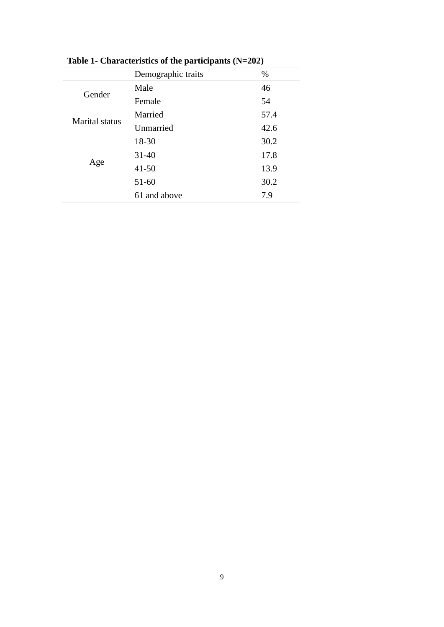|                       | Demographic traits | %    |
|-----------------------|--------------------|------|
| Gender                | Male               | 46   |
|                       | Female             | 54   |
| <b>Marital</b> status | Married            | 57.4 |
|                       | Unmarried          | 42.6 |
|                       | 18-30              | 30.2 |
|                       | $31 - 40$          | 17.8 |
| Age                   | $41 - 50$          | 13.9 |
|                       | $51 - 60$          | 30.2 |
|                       | 61 and above       | 7.9  |

**Table 1- Characteristics of the participants (N=202)**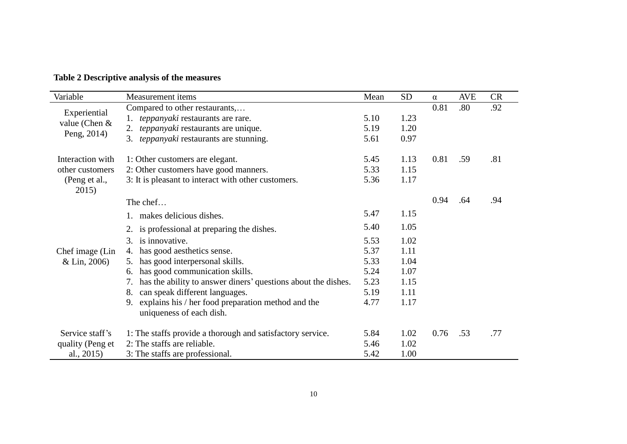| Variable                                       | Measurement items                                                                    | Mean | <b>SD</b> | $\alpha$ | AVE | <b>CR</b> |
|------------------------------------------------|--------------------------------------------------------------------------------------|------|-----------|----------|-----|-----------|
| Experiential<br>value (Chen $&$<br>Peng, 2014) | Compared to other restaurants,                                                       |      |           | 0.81     | .80 | .92       |
|                                                | teppanyaki restaurants are rare.                                                     | 5.10 | 1.23      |          |     |           |
|                                                | 2. teppanyaki restaurants are unique.                                                | 5.19 | 1.20      |          |     |           |
|                                                | 3. teppanyaki restaurants are stunning.                                              | 5.61 | 0.97      |          |     |           |
| Interaction with                               | 1: Other customers are elegant.                                                      | 5.45 | 1.13      | 0.81     | .59 | .81       |
| other customers                                | 2: Other customers have good manners.                                                | 5.33 | 1.15      |          |     |           |
| (Peng et al.,<br>2015)                         | 3: It is pleasant to interact with other customers.                                  | 5.36 | 1.17      |          |     |           |
| Chef image (Lin<br>$&$ Lin, 2006)              | The chef                                                                             |      |           | 0.94     | .64 | .94       |
|                                                | 1. makes delicious dishes.                                                           | 5.47 | 1.15      |          |     |           |
|                                                | 2. is professional at preparing the dishes.                                          | 5.40 | 1.05      |          |     |           |
|                                                | is innovative.<br>3.                                                                 | 5.53 | 1.02      |          |     |           |
|                                                | has good aesthetics sense.<br>4.                                                     | 5.37 | 1.11      |          |     |           |
|                                                | has good interpersonal skills.<br>5.                                                 | 5.33 | 1.04      |          |     |           |
|                                                | has good communication skills.<br>6.                                                 | 5.24 | 1.07      |          |     |           |
|                                                | has the ability to answer diners' questions about the dishes.<br>7.                  | 5.23 | 1.15      |          |     |           |
|                                                | can speak different languages.<br>8.                                                 | 5.19 | 1.11      |          |     |           |
|                                                | explains his / her food preparation method and the<br>9.<br>uniqueness of each dish. | 4.77 | 1.17      |          |     |           |
| Service staff's                                | 1: The staffs provide a thorough and satisfactory service.                           | 5.84 | 1.02      | 0.76     | .53 | .77       |
| quality (Peng et                               | 2: The staffs are reliable.                                                          | 5.46 | 1.02      |          |     |           |
| al., $2015$                                    | 3: The staffs are professional.                                                      | 5.42 | 1.00      |          |     |           |

# **Table 2 Descriptive analysis of the measures**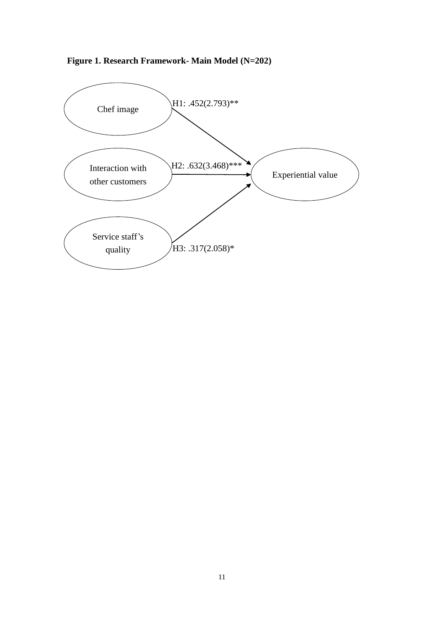**Figure 1. Research Framework- Main Model (N=202)**